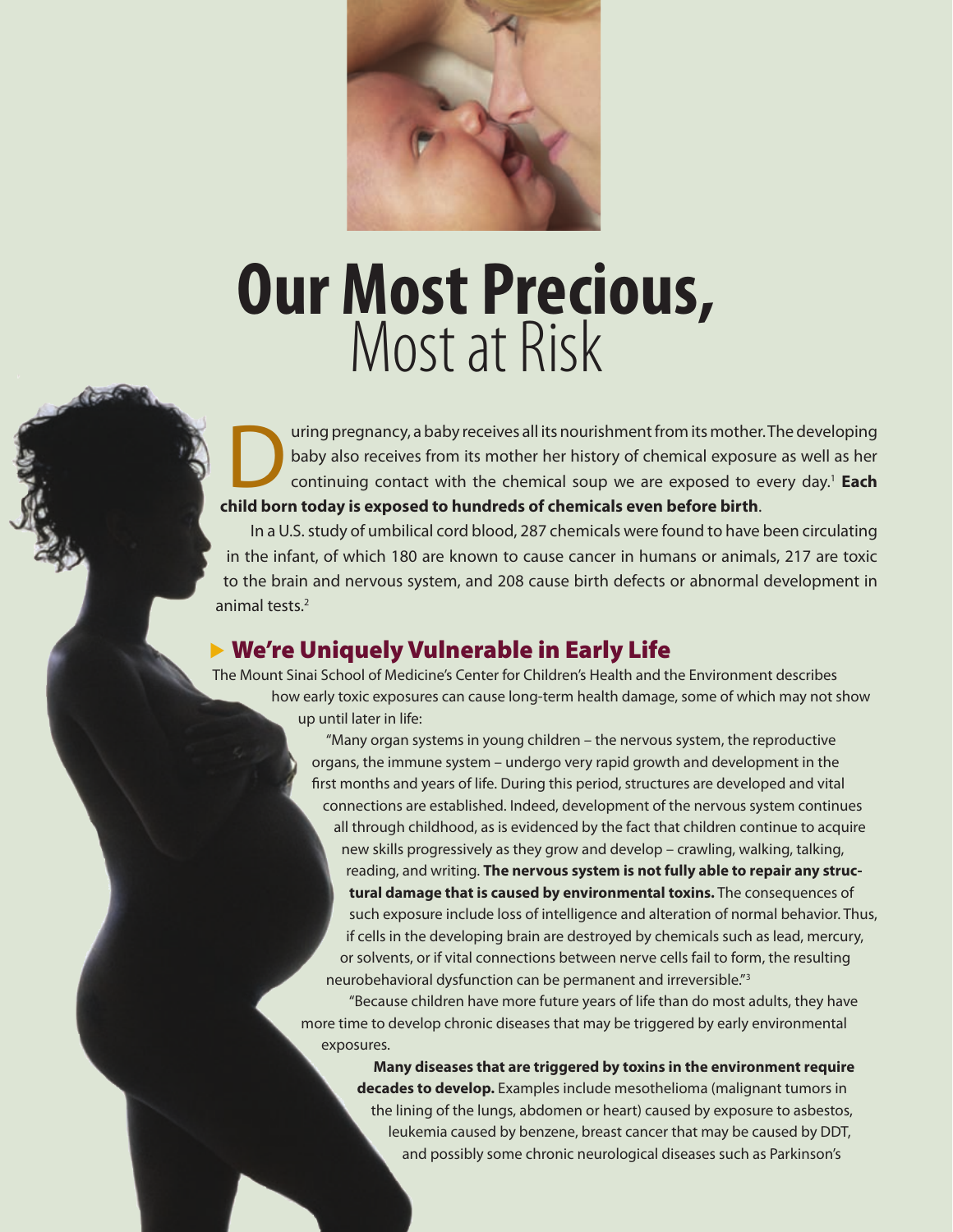

# **Our Most Precious,** Most at Risk

uring pregnancy, a baby receives all its nourishment from its mother. The developing baby also receives from its mother her history of chemical exposure as well as her continuing contact with the chemical soup we are exposed to every day.1 **Each child born today is exposed to hundreds of chemicals even before birth**.

 In a U.S. study of umbilical cord blood, 287 chemicals were found to have been circulating in the infant, of which 180 are known to cause cancer in humans or animals, 217 are toxic to the brain and nervous system, and 208 cause birth defects or abnormal development in animal tests.2

## $\blacktriangleright$  We're Uniquely Vulnerable in Early Life

The Mount Sinai School of Medicine's Center for Children's Health and the Environment describes how early toxic exposures can cause long-term health damage, some of which may not show up until later in life:

> "Many organ systems in young children – the nervous system, the reproductive organs, the immune system – undergo very rapid growth and development in the first months and years of life. During this period, structures are developed and vital connections are established. Indeed, development of the nervous system continues all through childhood, as is evidenced by the fact that children continue to acquire new skills progressively as they grow and develop – crawling, walking, talking, reading, and writing. **The nervous system is not fully able to repair any structural damage that is caused by environmental toxins.** The consequences of such exposure include loss of intelligence and alteration of normal behavior. Thus, if cells in the developing brain are destroyed by chemicals such as lead, mercury, or solvents, or if vital connections between nerve cells fail to form, the resulting neurobehavioral dysfunction can be permanent and irreversible."<sup>3</sup>

 "Because children have more future years of life than do most adults, they have more time to develop chronic diseases that may be triggered by early environmental exposures.

**Many diseases that are triggered by toxins in the environment require decades to develop.** Examples include mesothelioma (malignant tumors in the lining of the lungs, abdomen or heart) caused by exposure to asbestos, leukemia caused by benzene, breast cancer that may be caused by DDT, and possibly some chronic neurological diseases such as Parkinson's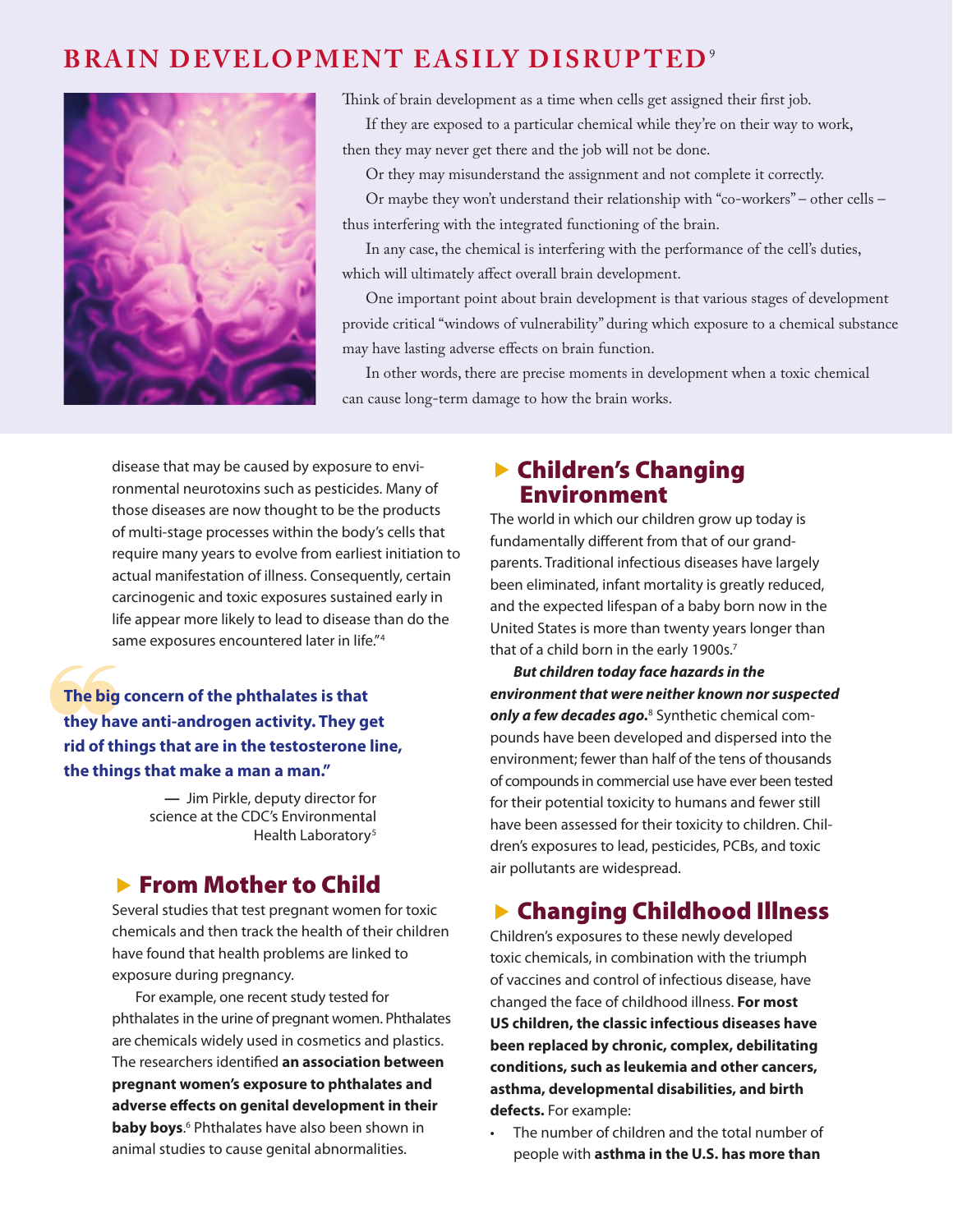## **BRAIN DEVELOPMENT EASILY DISRUPTED<sup>9</sup>**



Think of brain development as a time when cells get assigned their first job.

If they are exposed to a particular chemical while they're on their way to work, then they may never get there and the job will not be done.

Or they may misunderstand the assignment and not complete it correctly.

Or maybe they won't understand their relationship with "co-workers" – other cells – thus interfering with the integrated functioning of the brain.

In any case, the chemical is interfering with the performance of the cell's duties, which will ultimately affect overall brain development.

One important point about brain development is that various stages of development provide critical "windows of vulnerability" during which exposure to a chemical substance may have lasting adverse effects on brain function.

In other words, there are precise moments in development when a toxic chemical can cause long-term damage to how the brain works.

disease that may be caused by exposure to environmental neurotoxins such as pesticides. Many of those diseases are now thought to be the products of multi-stage processes within the body's cells that require many years to evolve from earliest initiation to actual manifestation of illness. Consequently, certain carcinogenic and toxic exposures sustained early in life appear more likely to lead to disease than do the same exposures encountered later in life."4

The big<br>they ha<br>rid of th **The big concern of the phthalates is that they have anti-androgen activity. They get rid of things that are in the testosterone line, the things that make a man a man."**

> **—** Jim Pirkle, deputy director for science at the CDC's Environmental Health Laboratory<sup>5</sup>

### **Exam Mother to Child**

Several studies that test pregnant women for toxic chemicals and then track the health of their children have found that health problems are linked to exposure during pregnancy.

For example, one recent study tested for phthalates in the urine of pregnant women. Phthalates are chemicals widely used in cosmetics and plastics. The researchers identified **an association between pregnant women's exposure to phthalates and adverse effects on genital development in their baby boys.**<sup>6</sup> Phthalates have also been shown in animal studies to cause genital abnormalities.

### **Exercise Changing** Environment

The world in which our children grow up today is fundamentally different from that of our grandparents. Traditional infectious diseases have largely been eliminated, infant mortality is greatly reduced, and the expected lifespan of a baby born now in the United States is more than twenty years longer than that of a child born in the early 1900s.<sup>7</sup>

*But children today face hazards in the environment that were neither known nor suspected only a few decades ago.*8 Synthetic chemical compounds have been developed and dispersed into the environment; fewer than half of the tens of thousands of compounds in commercial use have ever been tested for their potential toxicity to humans and fewer still have been assessed for their toxicity to children. Children's exposures to lead, pesticides, PCBs, and toxic air pollutants are widespread.

# ▶ Changing Childhood Illness

Children's exposures to these newly developed toxic chemicals, in combination with the triumph of vaccines and control of infectious disease, have changed the face of childhood illness. **For most US children, the classic infectious diseases have been replaced by chronic, complex, debilitating conditions, such as leukemia and other cancers, asthma, developmental disabilities, and birth defects.** For example:

The number of children and the total number of people with **asthma in the U.S. has more than**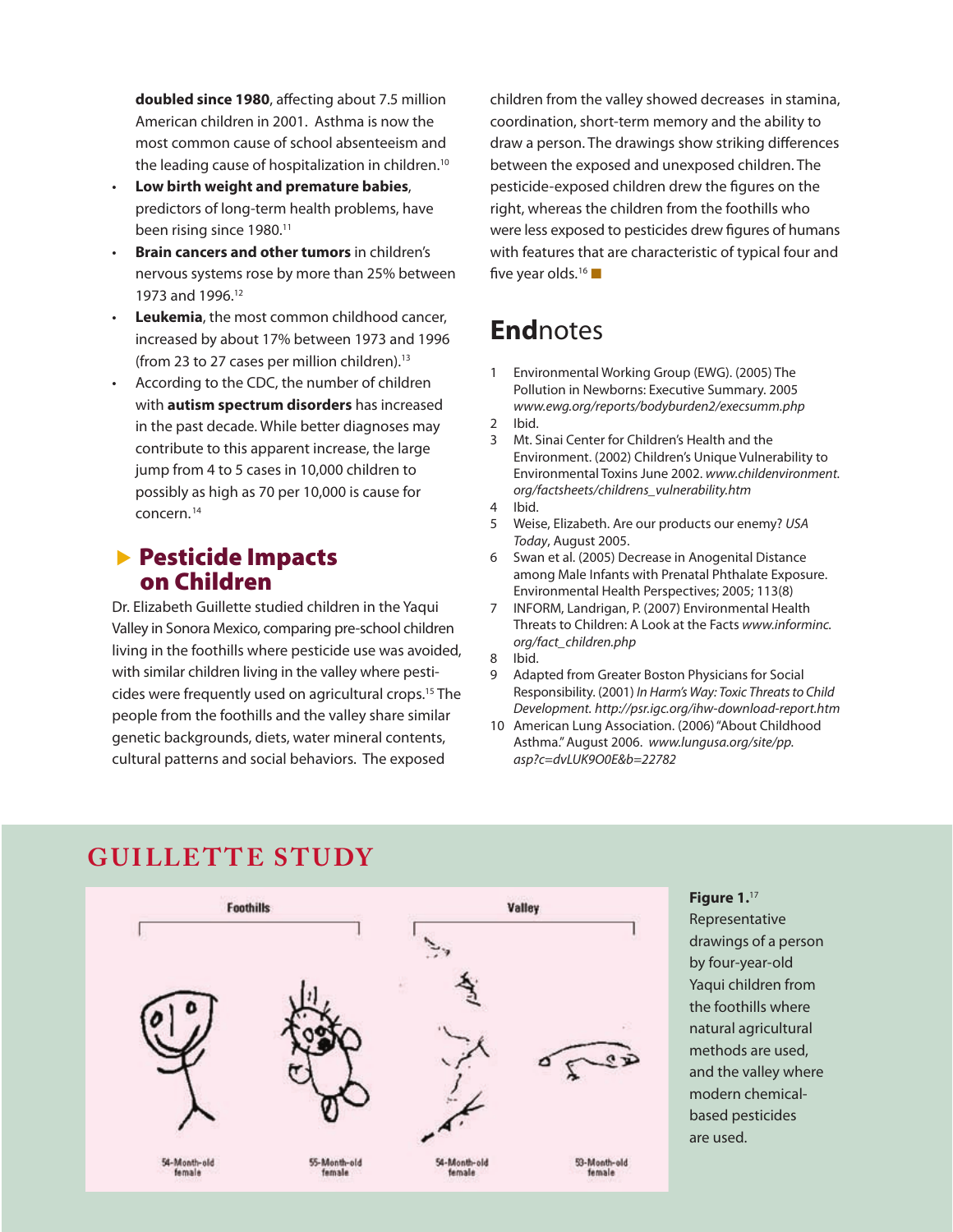**doubled since 1980**, affecting about 7.5 million American children in 2001. Asthma is now the most common cause of school absenteeism and the leading cause of hospitalization in children.<sup>10</sup>

- **Low birth weight and premature babies**, predictors of long-term health problems, have been rising since 1980.<sup>11</sup>
- **Brain cancers and other tumors** in children's nervous systems rose by more than 25% between 1973 and 1996.12
- **Leukemia**, the most common childhood cancer, increased by about 17% between 1973 and 1996 (from 23 to 27 cases per million children).<sup>13</sup>
- According to the CDC, the number of children with **autism spectrum disorders** has increased in the past decade. While better diagnoses may contribute to this apparent increase, the large jump from 4 to 5 cases in 10,000 children to possibly as high as 70 per 10,000 is cause for concern. 14

### **Exercicide Impacts** on Children

Dr. Elizabeth Guillette studied children in the Yaqui Valley in Sonora Mexico, comparing pre-school children living in the foothills where pesticide use was avoided, with similar children living in the valley where pesticides were frequently used on agricultural crops.15 The people from the foothills and the valley share similar genetic backgrounds, diets, water mineral contents, cultural patterns and social behaviors. The exposed

children from the valley showed decreases in stamina, coordination, short-term memory and the ability to draw a person. The drawings show striking differences between the exposed and unexposed children. The pesticide-exposed children drew the figures on the right, whereas the children from the foothills who were less exposed to pesticides drew figures of humans with features that are characteristic of typical four and five year olds.<sup>16</sup>

# **End**notes

- 1 Environmental Working Group (EWG). (2005) The Pollution in Newborns: Executive Summary. 2005 *www.ewg.org/reports/bodyburden2/execsumm.php*
- 2 Ibid.
- 3 Mt. Sinai Center for Children's Health and the Environment. (2002) Children's Unique Vulnerability to Environmental Toxins June 2002. *www.childenvironment. org/factsheets/childrens\_vulnerability.htm*
- 4 Ibid.
- 5 Weise, Elizabeth. Are our products our enemy? *USA Today*, August 2005.
- 6 Swan et al. (2005) Decrease in Anogenital Distance among Male Infants with Prenatal Phthalate Exposure. Environmental Health Perspectives; 2005; 113(8)
- 7 INFORM, Landrigan, P. (2007) Environmental Health Threats to Children: A Look at the Facts *www.informinc. org/fact\_children.php*
- 8 Ibid.
- 9 Adapted from Greater Boston Physicians for Social Responsibility. (2001) *In Harm's Way: Toxic Threats to Child Development. http://psr.igc.org/ihw-download-report.htm*
- 10 American Lung Association. (2006) "About Childhood Asthma." August 2006. *www.lungusa.org/site/pp. asp?c=dvLUK9O0E&b=22782*

# **GUILLETTE STUDY**



### **Figure 1.**<sup>17</sup>

Representative drawings of a person by four-year-old Yaqui children from the foothills where natural agricultural methods are used, and the valley where modern chemicalbased pesticides are used.